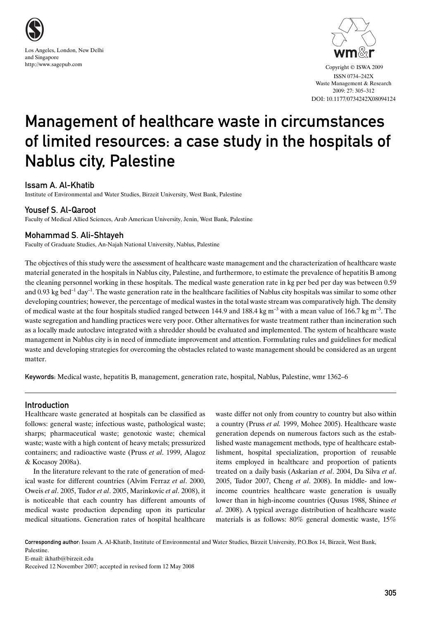



 Copyright © ISWA 2009 ISSN 0734–242X Waste Management & Research 2009: 27: 305–312 DOI: 10.1177/0734242X08094124

# Management of healthcare waste in circumstances of limited resources: a case study in the hospitals of Nablus city, Palestine

# Issam A. Al-Khatib

Institute of Environmental and Water Studies, Birzeit University, West Bank, Palestine

# Yousef S. Al-Qaroot

Faculty of Medical Allied Sciences, Arab American University, Jenin, West Bank, Palestine

# Mohammad S. Ali-Shtayeh

Faculty of Graduate Studies, An-Najah National University, Nablus, Palestine

The objectives of this study were the assessment of healthcare waste management and the characterization of healthcare waste material generated in the hospitals in Nablus city, Palestine, and furthermore, to estimate the prevalence of hepatitis B among the cleaning personnel working in these hospitals. The medical waste generation rate in kg per bed per day was between 0.59 and 0.93 kg bed<sup>-1</sup> day<sup>-1</sup>. The waste generation rate in the healthcare facilities of Nablus city hospitals was similar to some other developing countries; however, the percentage of medical wastes in the total waste stream was comparatively high. The density of medical waste at the four hospitals studied ranged between 144.9 and 188.4 kg m<sup>-3</sup> with a mean value of 166.7 kg m<sup>-3</sup>. The waste segregation and handling practices were very poor. Other alternatives for waste treatment rather than incineration such as a locally made autoclave integrated with a shredder should be evaluated and implemented. The system of healthcare waste management in Nablus city is in need of immediate improvement and attention. Formulating rules and guidelines for medical waste and developing strategies for overcoming the obstacles related to waste management should be considered as an urgent matter.

Keywords: Medical waste, hepatitis B, management, generation rate, hospital, Nablus, Palestine, wmr 1362–6

# Introduction

Healthcare waste generated at hospitals can be classified as follows: general waste; infectious waste, pathological waste; sharps; pharmaceutical waste; genotoxic waste; chemical waste; waste with a high content of heavy metals; pressurized containers; and radioactive waste (Pruss *et al*. 1999, Alagoz & Kocasoy 2008a).

In the literature relevant to the rate of generation of medical waste for different countries (Alvim Ferraz *et al*. 2000, Oweis *et al*. 2005, Tudor *et al*. 2005, Marinkovic *et al*. 2008), it is noticeable that each country has different amounts of medical waste production depending upon its particular medical situations. Generation rates of hospital healthcare

waste differ not only from country to country but also within a country (Pruss *et al.* 1999, Mohee 2005). Healthcare waste generation depends on numerous factors such as the established waste management methods, type of healthcare establishment, hospital specialization, proportion of reusable items employed in healthcare and proportion of patients treated on a daily basis (Askarian *et al*. 2004, Da Silva *et al*. 2005, Tudor 2007, Cheng *et al*. 2008). In middle- and lowincome countries healthcare waste generation is usually lower than in high-income countries (Qusus 1988, Shinee *et al*. 2008). A typical average distribution of healthcare waste materials is as follows: 80% general domestic waste, 15%

Corresponding author: Issam A. Al-Khatib, Institute of Environmental and Water Studies, Birzeit University, P.O.Box 14, Birzeit, West Bank, Palestine.

E-mail: ikhatb@birzeit.edu Received 12 November 2007; accepted in revised form 12 May 2008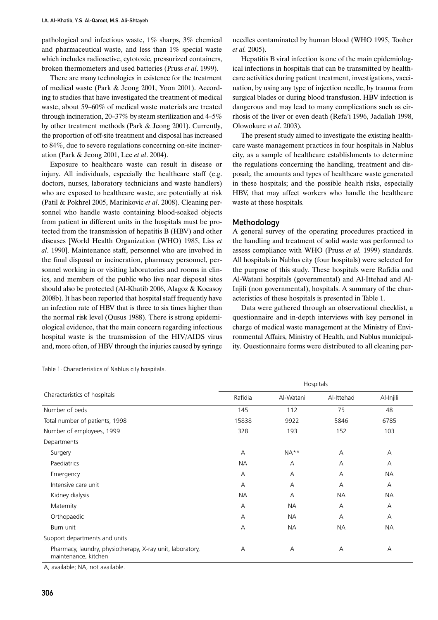pathological and infectious waste, 1% sharps, 3% chemical and pharmaceutical waste, and less than 1% special waste which includes radioactive, cytotoxic, pressurized containers, broken thermometers and used batteries (Pruss *et al*. 1999).

There are many technologies in existence for the treatment of medical waste (Park & Jeong 2001, Yoon 2001). According to studies that have investigated the treatment of medical waste, about 59–60% of medical waste materials are treated through incineration, 20–37% by steam sterilization and 4–5% by other treatment methods (Park & Jeong 2001). Currently, the proportion of off-site treatment and disposal has increased to 84%, due to severe regulations concerning on-site incineration (Park & Jeong 2001, Lee *et al*. 2004).

Exposure to healthcare waste can result in disease or injury. All individuals, especially the healthcare staff (e.g. doctors, nurses, laboratory technicians and waste handlers) who are exposed to healthcare waste, are potentially at risk (Patil & Pokhrel 2005, Marinkovic *et al*. 2008). Cleaning personnel who handle waste containing blood-soaked objects from patient in different units in the hospitals must be protected from the transmission of hepatitis B (HBV) and other diseases [World Health Organization (WHO) 1985, Liss *et al*. 1990]. Maintenance staff, personnel who are involved in the final disposal or incineration, pharmacy personnel, personnel working in or visiting laboratories and rooms in clinics, and members of the public who live near disposal sites should also be protected (Al-Khatib 2006, Alagoz & Kocasoy 2008b). It has been reported that hospital staff frequently have an infection rate of HBV that is three to six times higher than the normal risk level (Qusus 1988). There is strong epidemiological evidence, that the main concern regarding infectious hospital waste is the transmission of the HIV/AIDS virus and, more often, of HBV through the injuries caused by syringe

needles contaminated by human blood (WHO 1995, Tooher *et al.* 2005).

Hepatitis B viral infection is one of the main epidemiological infections in hospitals that can be transmitted by healthcare activities during patient treatment, investigations, vaccination, by using any type of injection needle, by trauma from surgical blades or during blood transfusion. HBV infection is dangerous and may lead to many complications such as cirrhosis of the liver or even death (Refa'i 1996, Jadallah 1998, Olowokure *et al*. 2003).

The present study aimed to investigate the existing healthcare waste management practices in four hospitals in Nablus city, as a sample of healthcare establishments to determine the regulations concerning the handling, treatment and disposal;, the amounts and types of healthcare waste generated in these hospitals; and the possible health risks, especially HBV, that may affect workers who handle the healthcare waste at these hospitals.

## **Methodology**

A general survey of the operating procedures practiced in the handling and treatment of solid waste was performed to assess compliance with WHO (Pruss *et al.* 1999) standards. All hospitals in Nablus city (four hospitals) were selected for the purpose of this study. These hospitals were Rafidia and Al-Watani hospitals (governmental) and Al-Ittehad and Al-Injili (non governmental), hospitals. A summary of the characteristics of these hospitals is presented in Table 1.

Data were gathered through an observational checklist, a questionnaire and in-depth interviews with key personel in charge of medical waste management at the Ministry of Environmental Affairs, Ministry of Health, and Nablus municipality. Questionnaire forms were distributed to all cleaning per-

Table 1: Characteristics of Nablus city hospitals.

|                                                                                   | Hospitals |                |            |           |
|-----------------------------------------------------------------------------------|-----------|----------------|------------|-----------|
| Characteristics of hospitals                                                      | Rafidia   | Al-Watani      | Al-Ittehad | Al-Injili |
| Number of beds                                                                    | 145       | 112            | 75         | 48        |
| Total number of patients, 1998                                                    | 15838     | 9922           | 5846       | 6785      |
| Number of employees, 1999                                                         | 328       | 193            | 152        | 103       |
| Departments                                                                       |           |                |            |           |
| Surgery                                                                           | А         | $NA**$         | А          | А         |
| Paediatrics                                                                       | <b>NA</b> | $\overline{A}$ | A          | A         |
| Emergency                                                                         | А         | А              | A          | <b>NA</b> |
| Intensive care unit                                                               | А         | А              | А          | A         |
| Kidney dialysis                                                                   | <b>NA</b> | А              | <b>NA</b>  | <b>NA</b> |
| Maternity                                                                         | A         | <b>NA</b>      | A          | A         |
| Orthopaedic                                                                       | A         | <b>NA</b>      | A          | A         |
| Burn unit                                                                         | А         | <b>NA</b>      | <b>NA</b>  | <b>NA</b> |
| Support departments and units                                                     |           |                |            |           |
| Pharmacy, laundry, physiotherapy, X-ray unit, laboratory,<br>maintenance, kitchen | А         | А              | А          | A         |

A, available; NA, not available.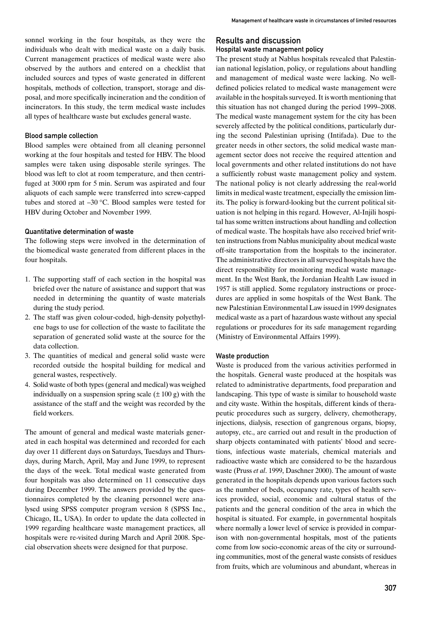sonnel working in the four hospitals, as they were the individuals who dealt with medical waste on a daily basis. Current management practices of medical waste were also observed by the authors and entered on a checklist that included sources and types of waste generated in different hospitals, methods of collection, transport, storage and disposal, and more specifically incineration and the condition of incinerators. In this study, the term medical waste includes all types of healthcare waste but excludes general waste.

#### Blood sample collection

Blood samples were obtained from all cleaning personnel working at the four hospitals and tested for HBV. The blood samples were taken using disposable sterile syringes. The blood was left to clot at room temperature, and then centrifuged at 3000 rpm for 5 min. Serum was aspirated and four aliquots of each sample were transferred into screw-capped tubes and stored at –30 °C. Blood samples were tested for HBV during October and November 1999.

### Quantitative determination of waste

The following steps were involved in the determination of the biomedical waste generated from different places in the four hospitals.

- 1. The supporting staff of each section in the hospital was briefed over the nature of assistance and support that was needed in determining the quantity of waste materials during the study period.
- 2. The staff was given colour-coded, high-density polyethylene bags to use for collection of the waste to facilitate the separation of generated solid waste at the source for the data collection.
- 3. The quantities of medical and general solid waste were recorded outside the hospital building for medical and general wastes, respectively.
- 4. Solid waste of both types (general and medical) was weighed individually on a suspension spring scale  $(\pm 100 \text{ g})$  with the assistance of the staff and the weight was recorded by the field workers.

The amount of general and medical waste materials generated in each hospital was determined and recorded for each day over 11 different days on Saturdays, Tuesdays and Thursdays, during March, April, May and June 1999, to represent the days of the week. Total medical waste generated from four hospitals was also determined on 11 consecutive days during December 1999. The answers provided by the questionnaires completed by the cleaning personnel were analysed using SPSS computer program version 8 (SPSS Inc., Chicago, IL, USA). In order to update the data collected in 1999 regarding healthcare waste management practices, all hospitals were re-visited during March and April 2008. Special observation sheets were designed for that purpose.

## Results and discussion Hospital waste management policy

The present study at Nablus hospitals revealed that Palestinian national legislation, policy, or regulations about handling and management of medical waste were lacking. No welldefined policies related to medical waste management were available in the hospitals surveyed. It is worth mentioning that this situation has not changed during the period 1999–2008. The medical waste management system for the city has been severely affected by the political conditions, particularly during the second Palestinian uprising (Intifada). Due to the greater needs in other sectors, the solid medical waste management sector does not receive the required attention and local governments and other related institutions do not have a sufficiently robust waste management policy and system. The national policy is not clearly addressing the real-world limits in medical waste treatment, especially the emission limits. The policy is forward-looking but the current political situation is not helping in this regard. However, Al-Injili hospital has some written instructions about handling and collection of medical waste. The hospitals have also received brief written instructions from Nablus municipality about medical waste off-site transportation from the hospitals to the incinerator. The administrative directors in all surveyed hospitals have the direct responsibility for monitoring medical waste management. In the West Bank, the Jordanian Health Law issued in 1957 is still applied. Some regulatory instructions or procedures are applied in some hospitals of the West Bank. The new Palestinian Environmental Law issued in 1999 designates medical waste as a part of hazardous waste without any special regulations or procedures for its safe management regarding (Ministry of Environmental Affairs 1999).

#### Waste production

Waste is produced from the various activities performed in the hospitals. General waste produced at the hospitals was related to administrative departments, food preparation and landscaping. This type of waste is similar to household waste and city waste. Within the hospitals, different kinds of therapeutic procedures such as surgery, delivery, chemotherapy, injections, dialysis, resection of gangrenous organs, biopsy, autopsy, etc., are carried out and result in the production of sharp objects contaminated with patients' blood and secretions, infectious waste materials, chemical materials and radioactive waste which are considered to be the hazardous waste (Pruss *et al*. 1999, Daschner 2000). The amount of waste generated in the hospitals depends upon various factors such as the number of beds, occupancy rate, types of health services provided, social, economic and cultural status of the patients and the general condition of the area in which the hospital is situated. For example, in governmental hospitals where normally a lower level of service is provided in comparison with non-governmental hospitals, most of the patients come from low socio-economic areas of the city or surrounding communities, most of the general waste consists of residues from fruits, which are voluminous and abundant, whereas in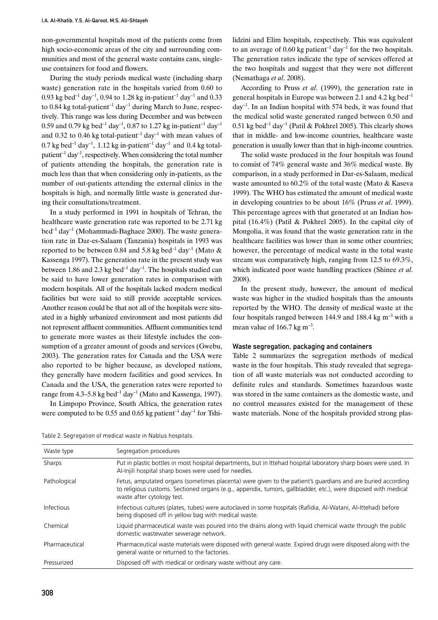non-governmental hospitals most of the patients come from high socio-economic areas of the city and surrounding communities and most of the general waste contains cans, singleuse containers for food and flowers.

During the study periods medical waste (including sharp waste) generation rate in the hospitals varied from 0.60 to 0.93 kg bed<sup>-1</sup> day<sup>-1</sup>, 0.94 to 1.28 kg in-patient<sup>-1</sup> day<sup>-1</sup> and 0.33 to 0.84 kg total-patient<sup>-1</sup> day<sup>-1</sup> during March to June, respectively. This range was less during December and was between 0.59 and 0.79 kg bed<sup>-1</sup> day<sup>-1</sup>, 0.87 to 1.27 kg in-patient<sup>-1</sup> day<sup>-1</sup> and 0.32 to 0.46 kg total-patient<sup>-1</sup> day<sup>-1</sup> with mean values of 0.7 kg bed<sup>-1</sup> day<sup>-1</sup>, 1.12 kg in-patient<sup>-1</sup> day<sup>-1</sup> and 0.4 kg totalpatient<sup>-1</sup> day<sup>-1</sup>, respectively. When considering the total number of patients attending the hospitals, the generation rate is much less than that when considering only in-patients, as the number of out-patients attending the external clinics in the hospitals is high, and normally little waste is generated during their consultations/treatment.

In a study performed in 1991 in hospitals of Tehran, the healthcare waste generation rate was reported to be 2.71 kg  $bed^{-1}$  day<sup>-1</sup> (Mohammadi-Baghaee 2000). The waste generation rate in Dar-es-Salaam (Tanzania) hospitals in 1993 was reported to be between 0.84 and 5.8 kg bed<sup>-1</sup> day<sup>-1</sup> (Mato  $\&$ Kassenga 1997). The generation rate in the present study was between 1.86 and 2.3 kg bed<sup>-1</sup> day<sup>-1</sup>. The hospitals studied can be said to have lower generation rates in comparison with modern hospitals. All of the hospitals lacked modern medical facilities but were said to still provide acceptable services. Another reason could be that not all of the hospitals were situated in a highly urbanized environment and most patients did not represent affluent communities. Affluent communities tend to generate more wastes as their lifestyle includes the consumption of a greater amount of goods and services (Gwebu, 2003). The generation rates for Canada and the USA were also reported to be higher because, as developed nations, they generally have modern facilities and good services. In Canada and the USA, the generation rates were reported to range from 4.3–5.8 kg bed<sup>-1</sup> day<sup>-1</sup> (Mato and Kassenga, 1997).

In Limpopo Province, South Africa, the generation rates were computed to be 0.55 and 0.65 kg patient<sup>-1</sup> day<sup>-1</sup> for Tshilidzini and Elim hospitals, respectively. This was equivalent to an average of 0.60 kg patient<sup>-1</sup> day<sup>-1</sup> for the two hospitals. The generation rates indicate the type of services offered at the two hospitals and suggest that they were not different (Nemathaga *et al*. 2008).

According to Pruss *et al*. (1999), the generation rate in general hospitals in Europe was between 2.1 and 4.2 kg bed<sup>-1</sup>  $day^{-1}$ . In an Indian hospital with 574 beds, it was found that the medical solid waste generated ranged between 0.50 and  $0.51$  kg bed<sup>-1</sup> day<sup>-1</sup> (Patil & Pokhrel 2005). This clearly shows that in middle- and low-income countries, healthcare waste generation is usually lower than that in high-income countries.

The solid waste produced in the four hospitals was found to consist of 74% general waste and 36% medical waste. By comparison, in a study performed in Dar-es-Salaam, medical waste amounted to 60.2% of the total waste (Mato & Kaseva 1999). The WHO has estimated the amount of medical waste in developing countries to be about 16% (Pruss *et al*. 1999). This percentage agrees with that generated at an Indian hospital (16.4%) (Patil & Pokhrel 2005). In the capital city of Mongolia, it was found that the waste generation rate in the healthcare facilities was lower than in some other countries; however, the percentage of medical waste in the total waste stream was comparatively high, ranging from 12.5 to 69.3%, which indicated poor waste handling practices (Shinee *et al*. 2008).

In the present study, however, the amount of medical waste was higher in the studied hospitals than the amounts reported by the WHO. The density of medical waste at the four hospitals ranged between 144.9 and 188.4 kg m–3 with a mean value of  $166.7 \text{ kg m}^{-3}$ .

#### Waste segregation, packaging and containers

Table 2 summarizes the segregation methods of medical waste in the four hospitals. This study revealed that segregation of all waste materials was not conducted according to definite rules and standards. Sometimes hazardous waste was stored in the same containers as the domestic waste, and no control measures existed for the management of these waste materials. None of the hospitals provided strong plas-

Table 2: Segregation of medical waste in Nablus hospitals.

| Waste type     | Segregation procedures                                                                                                                                                                                                                                      |
|----------------|-------------------------------------------------------------------------------------------------------------------------------------------------------------------------------------------------------------------------------------------------------------|
| Sharps         | Put in plastic bottles in most hospital departments, but in Ittehad hospital laboratory sharp boxes were used. In<br>Al-Injili hospital sharp boxes were used for needles.                                                                                  |
| Pathological   | Fetus, amputated organs (sometimes placenta) were given to the patient's guardians and are buried according<br>to religious customs. Sectioned organs (e.g., appendix, tumors, gallbladder, etc.), were disposed with medical<br>waste after cytology test. |
| Infectious     | Infectious cultures (plates, tubes) were autoclaved in some hospitals (Rafidia, Al-Watani, Al-Ittehad) before<br>being disposed off in yellow bag with medical waste.                                                                                       |
| Chemical       | Liquid pharmaceutical waste was poured into the drains along with liquid chemical waste through the public<br>domestic wastewater sewerage network.                                                                                                         |
| Pharmaceutical | Pharmaceutical waste materials were disposed with general waste. Expired drugs were disposed along with the<br>general waste or returned to the factories.                                                                                                  |
| Pressurized    | Disposed off with medical or ordinary waste without any care.                                                                                                                                                                                               |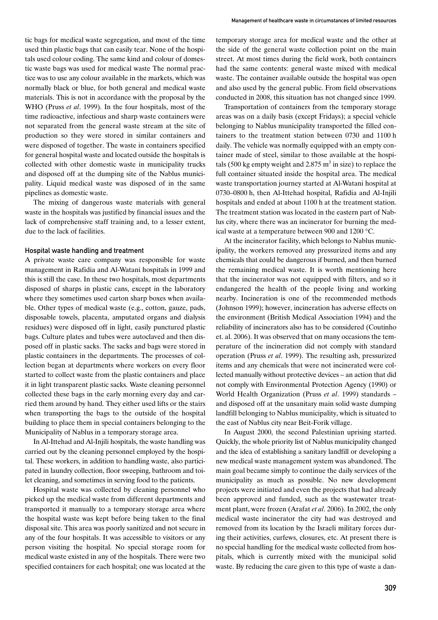tic bags for medical waste segregation, and most of the time used thin plastic bags that can easily tear. None of the hospitals used colour coding. The same kind and colour of domestic waste bags was used for medical waste The normal practice was to use any colour available in the markets, which was normally black or blue, for both general and medical waste materials. This is not in accordance with the proposal by the WHO (Pruss *et al*. 1999). In the four hospitals, most of the time radioactive, infectious and sharp waste containers were not separated from the general waste stream at the site of production so they were stored in similar containers and were disposed of together. The waste in containers specified for general hospital waste and located outside the hospitals is collected with other domestic waste in municipality trucks and disposed off at the dumping site of the Nablus municipality. Liquid medical waste was disposed of in the same pipelines as domestic waste.

The mixing of dangerous waste materials with general waste in the hospitals was justified by financial issues and the lack of comprehensive staff training and, to a lesser extent, due to the lack of facilities.

## Hospital waste handling and treatment

A private waste care company was responsible for waste management in Rafidia and Al-Watani hospitals in 1999 and this is still the case. In these two hospitals, most departments disposed of sharps in plastic cans, except in the laboratory where they sometimes used carton sharp boxes when available. Other types of medical waste (e.g., cotton, gauze, pads, disposable towels, placenta, amputated organs and dialysis residues) were disposed off in light, easily punctured plastic bags. Culture plates and tubes were autoclaved and then disposed off in plastic sacks. The sacks and bags were stored in plastic containers in the departments. The processes of collection began at departments where workers on every floor started to collect waste from the plastic containers and place it in light transparent plastic sacks. Waste cleaning personnel collected these bags in the early morning every day and carried them around by hand. They either used lifts or the stairs when transporting the bags to the outside of the hospital building to place them in special containers belonging to the Municipality of Nablus in a temporary storage area.

In Al-Ittehad and Al-Injili hospitals, the waste handling was carried out by the cleaning personnel employed by the hospital. These workers, in addition to handling waste, also participated in laundry collection, floor sweeping, bathroom and toilet cleaning, and sometimes in serving food to the patients.

Hospital waste was collected by cleaning personnel who picked up the medical waste from different departments and transported it manually to a temporary storage area where the hospital waste was kept before being taken to the final disposal site. This area was poorly sanitized and not secure in any of the four hospitals. It was accessible to visitors or any person visiting the hospital. No special storage room for medical waste existed in any of the hospitals. There were two specified containers for each hospital; one was located at the

temporary storage area for medical waste and the other at the side of the general waste collection point on the main street. At most times during the field work, both containers had the same contents: general waste mixed with medical waste. The container available outside the hospital was open and also used by the general public. From field observations conducted in 2008, this situation has not changed since 1999.

Transportation of containers from the temporary storage areas was on a daily basis (except Fridays); a special vehicle belonging to Nablus municipality transported the filled containers to the treatment station between 0730 and 1100 h daily. The vehicle was normally equipped with an empty container made of steel, similar to those available at the hospitals (500 kg empty weight and 2.875  $\text{m}^3$  in size) to replace the full container situated inside the hospital area. The medical waste transportation journey started at Al-Watani hospital at 0730–0800 h, then Al-Ittehad hospital, Rafidia and Al-Injili hospitals and ended at about 1100 h at the treatment station. The treatment station was located in the eastern part of Nablus city, where there was an incinerator for burning the medical waste at a temperature between 900 and 1200 °C.

At the incinerator facility, which belongs to Nablus municipality, the workers removed any pressurized items and any chemicals that could be dangerous if burned, and then burned the remaining medical waste. It is worth mentioning here that the incinerator was not equipped with filters, and so it endangered the health of the people living and working nearby. Incineration is one of the recommended methods (Johnson 1999); however, incineration has adverse effects on the environment (British Medical Association 1994) and the reliability of incinerators also has to be considered (Coutinho et. al. 2006). It was observed that on many occasions the temperature of the incineration did not comply with standard operation (Pruss *et al*. 1999). The resulting ash, pressurized items and any chemicals that were not incinerated were collected manually without protective devices – an action that did not comply with Environmental Protection Agency (1990) or World Health Organization (Pruss *et al*. 1999) standards – and disposed off at the unsanitary main solid waste dumping landfill belonging to Nablus municipality, which is situated to the east of Nablus city near Beit-Forik village.

In August 2000, the second Palestinian uprising started. Quickly, the whole priority list of Nablus municipality changed and the idea of establishing a sanitary landfill or developing a new medical waste management system was abandoned. The main goal became simply to continue the daily services of the municipality as much as possible. No new development projects were initiated and even the projects that had already been approved and funded, such as the wastewater treatment plant, were frozen (Arafat *et al*. 2006). In 2002, the only medical waste incinerator the city had was destroyed and removed from its location by the Israeli military forces during their activities, curfews, closures, etc. At present there is no special handling for the medical waste collected from hospitals, which is currently mixed with the municipal solid waste. By reducing the care given to this type of waste a dan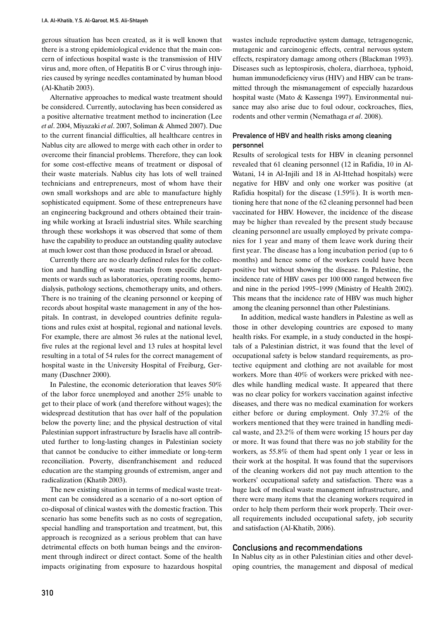gerous situation has been created, as it is well known that there is a strong epidemiological evidence that the main concern of infectious hospital waste is the transmission of HIV virus and, more often, of Hepatitis B or C virus through injuries caused by syringe needles contaminated by human blood (Al-Khatib 2003).

Alternative approaches to medical waste treatment should be considered. Currently, autoclaving has been considered as a positive alternative treatment method to incineration (Lee *et al*. 2004, Miyazaki *et al*. 2007, Soliman & Ahmed 2007). Due to the current financial difficulties, all healthcare centres in Nablus city are allowed to merge with each other in order to overcome their financial problems. Therefore, they can look for some cost-effective means of treatment or disposal of their waste materials. Nablus city has lots of well trained technicians and entrepreneurs, most of whom have their own small workshops and are able to manufacture highly sophisticated equipment. Some of these entrepreneurs have an engineering background and others obtained their training while working at Israeli industrial sites. While searching through these workshops it was observed that some of them have the capability to produce an outstanding quality autoclave at much lower cost than those produced in Israel or abroad.

Currently there are no clearly defined rules for the collection and handling of waste maerials from specific departments or wards such as laboratories, operating rooms, hemodialysis, pathology sections, chemotherapy units, and others. There is no training of the cleaning personnel or keeping of records about hospital waste management in any of the hospitals. In contrast, in developed countries definite regulations and rules exist at hospital, regional and national levels. For example, there are almost 36 rules at the national level, five rules at the regional level and 13 rules at hospital level resulting in a total of 54 rules for the correct management of hospital waste in the University Hospital of Freiburg, Germany (Daschner 2000).

In Palestine, the economic deterioration that leaves 50% of the labor force unemployed and another 25% unable to get to their place of work (and therefore without wages); the widespread destitution that has over half of the population below the poverty line; and the physical destruction of vital Palestinian support infrastructure by Israelis have all contributed further to long-lasting changes in Palestinian society that cannot be conducive to either immediate or long-term reconciliation. Poverty, disenfranchisement and reduced education are the stamping grounds of extremism, anger and radicalization (Khatib 2003).

The new existing situation in terms of medical waste treatment can be considered as a scenario of a no-sort option of co-disposal of clinical wastes with the domestic fraction. This scenario has some benefits such as no costs of segregation, special handling and transportation and treatment, but, this approach is recognized as a serious problem that can have detrimental effects on both human beings and the environment through indirect or direct contact. Some of the health impacts originating from exposure to hazardous hospital wastes include reproductive system damage, tetragenogenic, mutagenic and carcinogenic effects, central nervous system effects, respiratory damage among others (Blackman 1993). Diseases such as leptospirosis, cholera, diarrhoea, typhoid, human immunodeficiency virus (HIV) and HBV can be transmitted through the mismanagement of especially hazardous hospital waste (Mato & Kassenga 1997). Environmental nuisance may also arise due to foul odour, cockroaches, flies, rodents and other vermin (Nemathaga *et al*. 2008).

## Prevalence of HBV and health risks among cleaning personnel

Results of serological tests for HBV in cleaning personnel revealed that 61 cleaning personnel (12 in Rafidia, 10 in Al-Watani, 14 in Al-Injili and 18 in Al-Ittehad hospitals) were negative for HBV and only one worker was positive (at Rafidia hospital) for the disease (1.59%). It is worth mentioning here that none of the 62 cleaning personnel had been vaccinated for HBV. However, the incidence of the disease may be higher than revealed by the present study because cleaning personnel are usually employed by private companies for 1 year and many of them leave work during their first year. The disease has a long incubation period (up to 6 months) and hence some of the workers could have been positive but without showing the disease. In Palestine, the incidence rate of HBV cases per 100 000 ranged between five and nine in the period 1995–1999 (Ministry of Health 2002). This means that the incidence rate of HBV was much higher among the cleaning personnel than other Palestinians.

In addition, medical waste handlers in Palestine as well as those in other developing countries are exposed to many health risks. For example, in a study conducted in the hospitals of a Palestinian district, it was found that the level of occupational safety is below standard requirements, as protective equipment and clothing are not available for most workers. More than 40% of workers were pricked with needles while handling medical waste. It appeared that there was no clear policy for workers vaccination against infective diseases, and there was no medical examination for workers either before or during employment. Only 37.2% of the workers mentioned that they were trained in handling medical waste, and 23.2% of them were working 15 hours per day or more. It was found that there was no job stability for the workers, as 55.8% of them had spent only 1 year or less in their work at the hospital. It was found that the supervisors of the cleaning workers did not pay much attention to the workers' occupational safety and satisfaction. There was a huge lack of medical waste management infrastructure, and there were many items that the cleaning workers required in order to help them perform their work properly. Their overall requirements included occupational safety, job security and satisfaction (Al-Khatib, 2006).

## Conclusions and recommendations

In Nablus city as in other Palestinian cities and other developing countries, the management and disposal of medical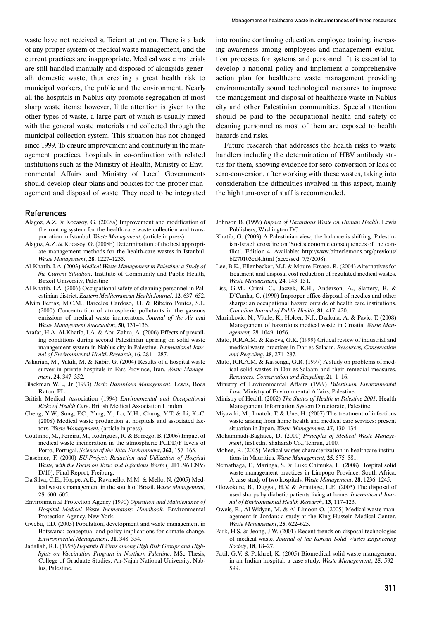waste have not received sufficient attention. There is a lack of any proper system of medical waste management, and the current practices are inappropriate. Medical waste materials are still handled manually and disposed of alongside generalh domestic waste, thus creating a great health risk to municipal workers, the public and the environment. Nearly all the hospitals in Nablus city promote segregation of most sharp waste items; however, little attention is given to the other types of waste, a large part of which is usually mixed with the general waste materials and collected through the municipal collection system. This situation has not changed since 1999. To ensure improvement and continuity in the management practices, hospitals in co-ordination with related institutions such as the Ministry of Health, Ministry of Environmental Affairs and Ministry of Local Governments should develop clear plans and policies for the proper management and disposal of waste. They need to be integrated

### References

- Alagoz, A.Z. & Kocasoy, G. (2008a) Improvement and modification of the routing system for the health-care waste collection and transportation in Istanbul. *Waste Management*, (article in press).
- Alagoz, A.Z. & Kocasoy, G. (2008b) Determination of the best appropriate management methods for the health-care wastes in Istanbul. *Waste Management*, **28**, 1227–1235.
- Al-Khatib, I.A. (2003) *Medical Waste Management in Palestine: a Study of the Current Situation*. Institute of Community and Public Health, Birzeit University, Palestine.
- Al-Khatib, I.A. (2006) Occupational safety of cleaning personnel in Palestinian district. *Eastern Mediterranean Health Journal*, **12**, 637–652.
- Alvim Ferraz, M.C.M., Barcelos Cardoso, J.I. & Ribeiro Pontes, S.L. (2000) Concentration of atmospheric pollutants in the gaseous emissions of medical waste incinerators. *Journal of the Air and Waste Management Association*, **50**, 131–136.
- Arafat, H.A. Al-Khatib, I.A. & Abu Zahra, A. (2006) Effects of prevailing conditions during second Palestinian uprising on solid waste management system in Nablus city in Palestine. *International Journal of Environmental Health Research*, **16**, 281 – 287.
- Askarian, M., Vakili, M. & Kabir, G. (2004) Results of a hospital waste survey in private hospitals in Fars Province, Iran. *Waste Management*, **24**, 347–352.
- Blackman W.L., Jr (1993) *Basic Hazardous Management*. Lewis, Boca Raton, FL.
- British Medical Association (1994) *Environmental and Occupational Risks of Health Care*. British Medical Association London.
- Cheng, Y.W., Sung, F.C., Yang, Y., Lo, Y.H., Chung, Y.T. & Li, K.-C. (2008) Medical waste production at hospitals and associated factors. *Waste Management*, (article in press).
- Coutinho, M., Pereira, M., Rodrigues, R. & Borrego, B. (2006) Impact of medical waste incineration in the atmospheric PCDD/F levels of Porto, Portugal. *Science of the Total Environment*, **362**, 157–165.
- Daschner, F. (2000) *EU-Project: Reduction and Utilization of Hospital Waste, with the Focus on Toxic and Infectious Waste* (LIFE 96 ENV/ D/10). Final Report, Freiburg.
- Da Silva, C.E., Hoppe, A.E., Ravanello, M.M. & Mello, N. (2005) Medical wastes management in the south of Brazil. *Waste Management*, **25**, 600–605.
- Environmental Protection Agency (1990) *Operation and Maintenance of Hospital Medical Waste Incinerators: Handbook.* Environmental Protection Agency, New York.
- Gwebu, T.D. (2003) Population, development and waste management in Botswana; conceptual and policy implications for climate change. *Environmental Management*, **31**, 348–354.
- Jadallah, R.I. (1998) *Hepatitis B Virus among High Risk Groups and Highlights on Vaccination Program in Northern Palestine*. MSc Thesis, College of Graduate Studies, An-Najah National University, Nablus, Palestine.

into routine continuing education, employee training, increasing awareness among employees and management evaluation processes for systems and personnel. It is essential to develop a national policy and implement a comprehensive action plan for healthcare waste management providing environmentally sound technological measures to improve the management and disposal of healthcare waste in Nablus city and other Palestinian communities. Special attention should be paid to the occupational health and safety of cleaning personnel as most of them are exposed to health hazards and risks.

Future research that addresses the health risks to waste handlers including the determination of HBV antibody status for them, showing evidence for sero-conversion or lack of sero-conversion, after working with these wastes, taking into consideration the difficulties involved in this aspect, mainly the high turn-over of staff is recommended.

- Johnson B. (1999) *Impact of Hazardous Waste on Human Health*. Lewis Publishers, Washington DC.
- Khatib, G. (2003) A Palestinian view, the balance is shifting. Palestinian-Israeli crossfire on 'Socioeconomic consequences of the conflict'. Edition 4. Available: http://www.bitterlemons.org/previous/ bl270103ed4.html (accessed: 7/5/2008).
- Lee, B.K., Ellenbecker, M.J. & Moure-Ersaso, R. (2004) Alternatives for treatment and disposal cost reduction of regulated medical wastes. *Waste Management,* **24**, 143–151.
- Liss, G.M., Crimi, C., Jaczek, K.H., Anderson, A., Slattery, B. & D'Cunha, C. (1990) Improper office disposal of needles and other sharps: an occupational hazard outside of health care institutions. *Canadian Journal of Public Health*, **81**, 417–420.
- Marinkovic, N., Vitale, K., Holcer, N.J., Dzakula, A. & Pavic, T. (2008) Management of hazardous medical waste in Croatia. *Waste Management,* 28, 1049–1056.
- Mato, R.R.A.M. & Kaseva, G.K. (1999) Critical review of industrial and medical waste practices in Dar-es-Salaam. *Resources, Conservation and Recycling*, **25**, 271–287.
- Mato, R.R.A.M. & Kassenga, G.R. (1997) A study on problems of medical solid wastes in Dar-es-Salaam and their remedial measures. *Resources, Conservation and Recycling*, **21**, 1–16.
- Ministry of Environmental Affairs (1999) *Palestinian Environmental Law*. Ministry of Environmental Affairs, Palestine.
- Ministry of Health (2002) *The Status of Health in Palestine 2001*. Health Management Information System Directorate, Palestine.
- Miyazaki, M., Imatoh, T. & Une, H. (2007) The treatment of infectious waste arising from home health and medical care services: present situation in Japan. *Waste Management*, **27**, 130–134.
- Mohammadi-Baghaee, D. (2000) *Principles of Medical Waste Management*, first edn. Shaharab Co., Tehran, 2000.
- Mohee, R. (2005) Medical wastes characterization in healthcare institutions in Mauritius. *Waste Management*, **25**, 575–581.
- Nemathaga, F., Maringa, S. & Luke Chimuka, L. (2008) Hospital solid waste management practices in Limpopo Province, South Africa: A case study of two hospitals. *Waste Management*, **28**, 1236–1245.
- Olowokure, B., Duggal, H.V. & Armitage, L.E. (2003) The disposal of used sharps by diabetic patients living at home. *International Journal of Environmental Health Research*, **13**, 117–123.
- Oweis, R., Al-Widyan, M. & Al-Limoon O. (2005) Medical waste management in Jordan: a study at the King Hussein Medical Center. *Waste Management*, **25**, 622–625.
- Park, H.S. & Jeong, J.W. (2001) Recent trends on disposal technologies of medical waste. *Journal of the Korean Solid Wastes Engineering Society*, **18**, 18–27.
- Patil, G.V. & Pokhrel, K. (2005) Biomedical solid waste management in an Indian hospital: a case study. *Waste Management*, **25**, 592– 599.